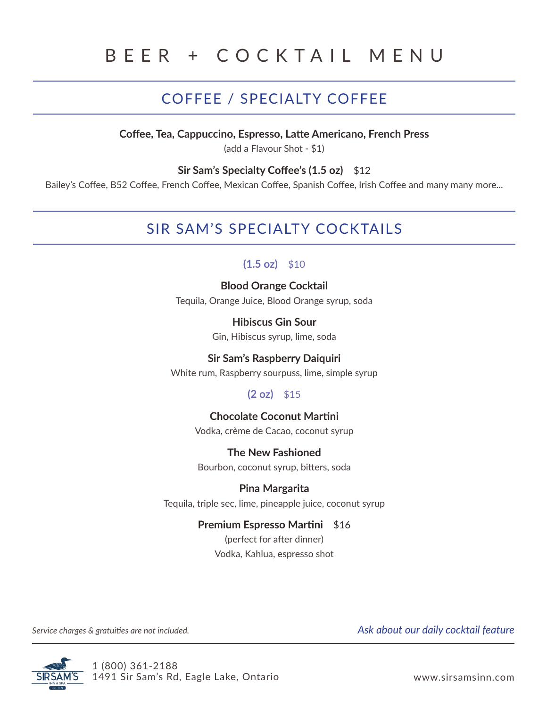# BEER + COCKTAIL MENU

# COFFEE / SPECIALTY COFFEE

**Coffee, Tea, Cappuccino, Espresso, Latte Americano, French Press**

(add a Flavour Shot - \$1)

#### **Sir Sam's Specialty Coffee's (1.5 oz)** \$12

Bailey's Coffee, B52 Coffee, French Coffee, Mexican Coffee, Spanish Coffee, Irish Coffee and many many more...

# SIR SAM'S SPECIALTY COCKTAILS

# $(1.5 \text{ oz})$  \$10

**Blood Orange Cocktail** Tequila, Orange Juice, Blood Orange syrup, soda

> **Hibiscus Gin Sour** Gin, Hibiscus syrup, lime, soda

### **Sir Sam's Raspberry Daiquiri**

White rum, Raspberry sourpuss, lime, simple syrup

# **(2 oz)** \$15

### **Chocolate Coconut Martini**

Vodka, crème de Cacao, coconut syrup

**The New Fashioned** Bourbon, coconut syrup, bitters, soda

**Pina Margarita** Tequila, triple sec, lime, pineapple juice, coconut syrup

### **Premium Espresso Martini** \$16

(perfect for after dinner) Vodka, Kahlua, espresso shot

*Service charges & gratuities are not included. Ask about our daily cocktail feature*



1 (800) 361-2188 1491 Sir Sam's Rd, Eagle Lake, Ontario www.sirsamsinn.com